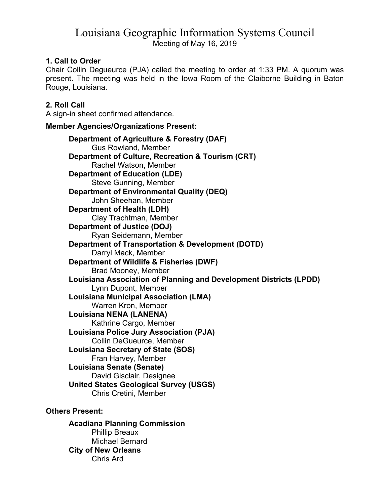# Louisiana Geographic Information Systems Council Meeting of May 16, 2019

## **1. Call to Order**

Chair Collin Degueurce (PJA) called the meeting to order at 1:33 PM. A quorum was present. The meeting was held in the Iowa Room of the Claiborne Building in Baton Rouge, Louisiana.

# **2. Roll Call**

A sign-in sheet confirmed attendance.

## **Member Agencies/Organizations Present:**

**Department of Agriculture & Forestry (DAF)**  Gus Rowland, Member **Department of Culture, Recreation & Tourism (CRT)**  Rachel Watson, Member **Department of Education (LDE)**  Steve Gunning, Member **Department of Environmental Quality (DEQ)**  John Sheehan, Member **Department of Health (LDH)**  Clay Trachtman, Member **Department of Justice (DOJ)**  Ryan Seidemann, Member **Department of Transportation & Development (DOTD)**  Darryl Mack, Member **Department of Wildlife & Fisheries (DWF)**  Brad Mooney, Member **Louisiana Association of Planning and Development Districts (LPDD)**  Lynn Dupont, Member **Louisiana Municipal Association (LMA)**  Warren Kron, Member **Louisiana NENA (LANENA)**  Kathrine Cargo, Member **Louisiana Police Jury Association (PJA)**  Collin DeGueurce, Member **Louisiana Secretary of State (SOS)**  Fran Harvey, Member **Louisiana Senate (Senate)**  David Gisclair, Designee  **United States Geological Survey (USGS)**  Chris Cretini, Member

# **Others Present:**

**Acadiana Planning Commission**  Phillip Breaux Michael Bernard  **City of New Orleans**  Chris Ard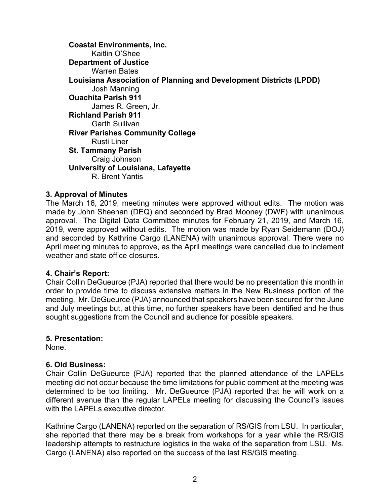**Coastal Environments, Inc.**  Kaitlin O'Shee **Department of Justice**  Warren Bates **Louisiana Association of Planning and Development Districts (LPDD)**  Josh Manning **Ouachita Parish 911**  James R. Green, Jr. **Richland Parish 911**  Garth Sullivan **River Parishes Community College**  Rusti Liner **St. Tammany Parish**  Craig Johnson  **University of Louisiana, Lafayette**  R. Brent Yantis

#### **3. Approval of Minutes**

The March 16, 2019, meeting minutes were approved without edits. The motion was made by John Sheehan (DEQ) and seconded by Brad Mooney (DWF) with unanimous approval. The Digital Data Committee minutes for February 21, 2019, and March 16, 2019, were approved without edits. The motion was made by Ryan Seidemann (DOJ) and seconded by Kathrine Cargo (LANENA) with unanimous approval. There were no April meeting minutes to approve, as the April meetings were cancelled due to inclement weather and state office closures.

#### **4. Chair's Report:**

Chair Collin DeGueurce (PJA) reported that there would be no presentation this month in order to provide time to discuss extensive matters in the New Business portion of the meeting. Mr. DeGueurce (PJA) announced that speakers have been secured for the June and July meetings but, at this time, no further speakers have been identified and he thus sought suggestions from the Council and audience for possible speakers.

#### **5. Presentation:**

None.

#### **6. Old Business:**

Chair Collin DeGueurce (PJA) reported that the planned attendance of the LAPELs meeting did not occur because the time limitations for public comment at the meeting was determined to be too limiting. Mr. DeGueurce (PJA) reported that he will work on a different avenue than the regular LAPELs meeting for discussing the Council's issues with the LAPELs executive director.

Kathrine Cargo (LANENA) reported on the separation of RS/GIS from LSU. In particular, she reported that there may be a break from workshops for a year while the RS/GIS leadership attempts to restructure logistics in the wake of the separation from LSU. Ms. Cargo (LANENA) also reported on the success of the last RS/GIS meeting.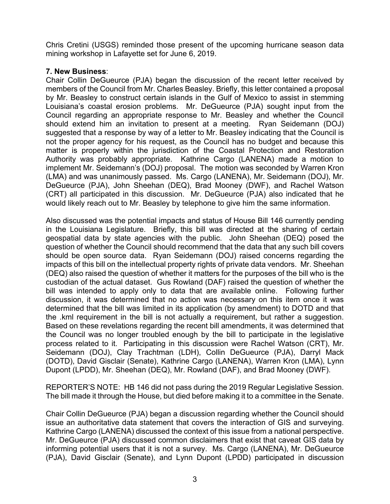Chris Cretini (USGS) reminded those present of the upcoming hurricane season data mining workshop in Lafayette set for June 6, 2019.

### **7. New Business**:

Chair Collin DeGueurce (PJA) began the discussion of the recent letter received by members of the Council from Mr. Charles Beasley. Briefly, this letter contained a proposal by Mr. Beasley to construct certain islands in the Gulf of Mexico to assist in stemming Louisiana's coastal erosion problems. Mr. DeGueurce (PJA) sought input from the Council regarding an appropriate response to Mr. Beasley and whether the Council should extend him an invitation to present at a meeting. Ryan Seidemann (DOJ) suggested that a response by way of a letter to Mr. Beasley indicating that the Council is not the proper agency for his request, as the Council has no budget and because this matter is properly within the jurisdiction of the Coastal Protection and Restoration Authority was probably appropriate. Kathrine Cargo (LANENA) made a motion to implement Mr. Seidemann's (DOJ) proposal. The motion was seconded by Warren Kron (LMA) and was unanimously passed. Ms. Cargo (LANENA), Mr. Seidemann (DOJ), Mr. DeGueurce (PJA), John Sheehan (DEQ), Brad Mooney (DWF), and Rachel Watson (CRT) all participated in this discussion. Mr. DeGueurce (PJA) also indicated that he would likely reach out to Mr. Beasley by telephone to give him the same information.

Also discussed was the potential impacts and status of House Bill 146 currently pending in the Louisiana Legislature. Briefly, this bill was directed at the sharing of certain geospatial data by state agencies with the public. John Sheehan (DEQ) posed the question of whether the Council should recommend that the data that any such bill covers should be open source data. Ryan Seidemann (DOJ) raised concerns regarding the impacts of this bill on the intellectual property rights of private data vendors. Mr. Sheehan (DEQ) also raised the question of whether it matters for the purposes of the bill who is the custodian of the actual dataset. Gus Rowland (DAF) raised the question of whether the bill was intended to apply only to data that are available online. Following further discussion, it was determined that no action was necessary on this item once it was determined that the bill was limited in its application (by amendment) to DOTD and that the .kml requirement in the bill is not actually a requirement, but rather a suggestion. Based on these revelations regarding the recent bill amendments, it was determined that the Council was no longer troubled enough by the bill to participate in the legislative process related to it. Participating in this discussion were Rachel Watson (CRT), Mr. Seidemann (DOJ), Clay Trachtman (LDH), Collin DeGueurce (PJA), Darryl Mack (DOTD), David Gisclair (Senate), Kathrine Cargo (LANENA), Warren Kron (LMA), Lynn Dupont (LPDD), Mr. Sheehan (DEQ), Mr. Rowland (DAF), and Brad Mooney (DWF).

REPORTER'S NOTE: HB 146 did not pass during the 2019 Regular Legislative Session. The bill made it through the House, but died before making it to a committee in the Senate.

Chair Collin DeGueurce (PJA) began a discussion regarding whether the Council should issue an authoritative data statement that covers the interaction of GIS and surveying. Kathrine Cargo (LANENA) discussed the context of this issue from a national perspective. Mr. DeGueurce (PJA) discussed common disclaimers that exist that caveat GIS data by informing potential users that it is not a survey. Ms. Cargo (LANENA), Mr. DeGueurce (PJA), David Gisclair (Senate), and Lynn Dupont (LPDD) participated in discussion